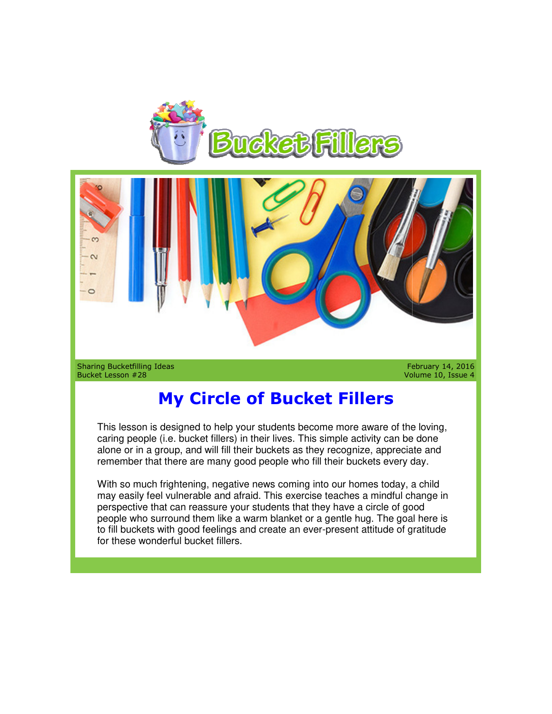



Bucket Lesson #28

Volume 10, Issue 4 February Volume

## **My Circle of Bucket Fillers**

This lesson is designed to help your students become more aware of the loving, This lesson is designed to help your students become more aware of the loving<br>caring people (i.e. bucket fillers) in their lives. This simple activity can be done alone or in a group, and will fill their buckets as they recognize, appreciate and remember that there are many good people who fill their buckets every day.

With so much frightening, negative news coming into our homes today, a child alone or in a group, and will fill their buckets as they recognize, appreciate and<br>remember that there are many good people who fill their buckets every day.<br>With so much frightening, negative news coming into our homes to perspective that can reassure your students that they have a circle of good people who surround them like a warm blanket or a gentle hug. The goal here is to fill buckets with good feelings and create an ever-present for these wonderful bucket fillers. can reassure your students that they have a circle of good<br>pund them like a warm blanket or a gentle hug. The goal here is<br>h good feelings and create an ever-present attitude of gratitude